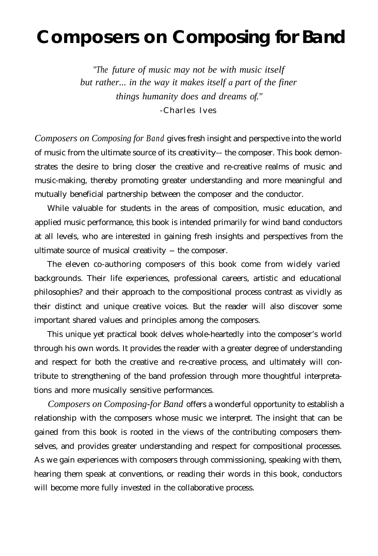# **Composers on Composing for Band**

*"The future of music may not be with music itself but rather... in the way it makes itself a part of the finer things humanity does and dreams of."* -Charles Ives

*Composers on Composing for Band* gives fresh insight and perspective into the world of music from the ultimate source of its creativity-- the composer. This book demonstrates the desire to bring closer the creative and re-creative realms of music and music-making, thereby promoting greater understanding and more meaningful and mutually beneficial partnership between the composer and the conductor.

While valuable for students in the areas of composition, music education, and applied music performance, this book is intended primarily for wind band conductors at all levels, who are interested in gaining fresh insights and perspectives from the ultimate source of musical creativity - the composer.

The eleven co-authoring composers of this book come from widely varied backgrounds. Their life experiences, professional careers, artistic and educational philosophies? and their approach to the compositional process contrast as vividly as their distinct and unique creative voices. But the reader will also discover some important shared values and principles among the composers.

This unique yet practical book delves whole-heartedly into the composer's world through his own words. It provides the reader with a greater degree of understanding and respect for both the creative and re-creative process, and ultimately will contribute to strengthening of the band profession through more thoughtful interpretations and more musically sensitive performances.

*Composers on Composing-for Band* offers a wonderful opportunity to establish a relationship with the composers whose music we interpret. The insight that can be gained from this book is rooted in the views of the contributing composers themselves, and provides greater understanding and respect for compositional processes. As we gain experiences with composers through commissioning, speaking with them, hearing them speak at conventions, or reading their words in this book, conductors will become more fully invested in the collaborative process.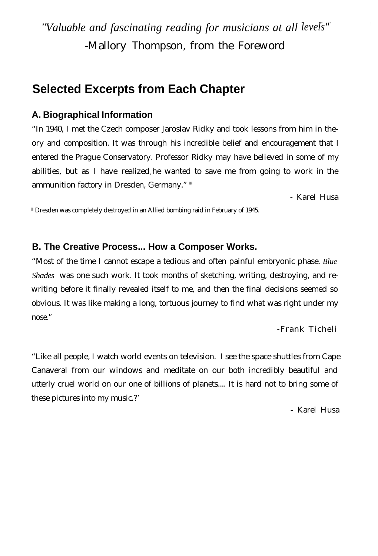*"Valuable and fascinating reading for musicians at all levels"* -Mallory Thompson, from the Foreword

# **Selected Excerpts from Each Chapter**

#### **A. Biographical Information**

"In 1940, I met the Czech composer Jaroslav Ridky and took lessons from him in theory and composition. It was through his incredible belief and encouragement that I entered the Prague Conservatory. Professor Ridky may have believed in some of my abilities, but as I have realized, he wanted to save me from going to work in the ammunition factory in Dresden, Germany." \*

- Karel Husa

\* Dresden was completely destroyed in an Allied bombing raid in February of 1945.

#### **B. The Creative Process... How a Composer Works.**

"Most of the time I cannot escape a tedious and often painful embryonic phase. *Blue Shades* was one such work. It took months of sketching, writing, destroying, and rewriting before it finally revealed itself to me, and then the final decisions seemed so obvious. It was like making a long, tortuous journey to find what was right under my nose."

-Frank Ticheli

"Like all people, I watch world events on television. I see the space shuttles from Cape Canaveral from our windows and meditate on our both incredibly beautiful and utterly cruel world on our one of billions of planets.... It is hard not to bring some of these pictures into my music.?'

- Karel Husa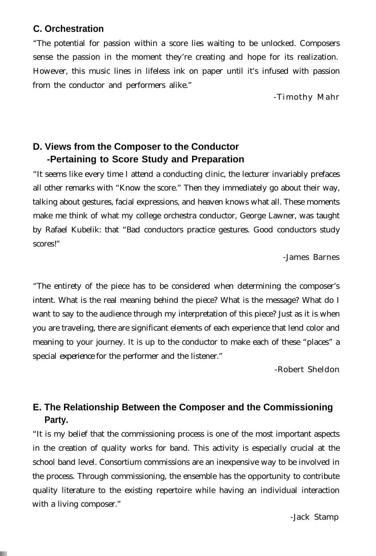#### **C. Orchestration**

"The potential for passion within a score lies waiting to be unlocked. Composers sense the passion in the moment they're creating and hope for its realization. However, this music lines in lifeless ink on paper until it's infused with passion from the conductor and performers alike."

-Timothy Mahr

## **D. Views from the Composer to the Conductor -Pertaining to Score Study and Preparation**

"It seems like every time I attend a conducting clinic, the lecturer invariably prefaces all other remarks with "Know the score." Then they immediately go about their way, talking about gestures, facial expressions, and heaven knows what all. These moments make me think of what my college orchestra conductor, George Lawner, was taught by Rafael Kubelik: that "Bad conductors practice gestures. Good conductors study scores!"

-James Barnes

"The entirety of the piece has to be considered when determining the composer's intent. What is the real meaning behind the piece? What is the message? What do I want to say to the audience through my interpretation of this piece? Just as it is when you are traveling, there are significant elements of each experience that lend color and meaning to your journey. It is up to the conductor to make each of these "places" a special experience for the performer and the listener."

-Robert Sheldon

# **E. The Relationship Between the Composer and the Commissioning Party.**

"It is my belief that the commissioning process is one of the most important aspects in the creation of quality works for band. This activity is especially crucial at the school band level. Consortium commissions are an inexpensive way to be involved in the process. Through commissioning, the ensemble has the opportunity to contribute quality literature to the existing repertoire while having an individual interaction with a living composer."

-Jack Stamp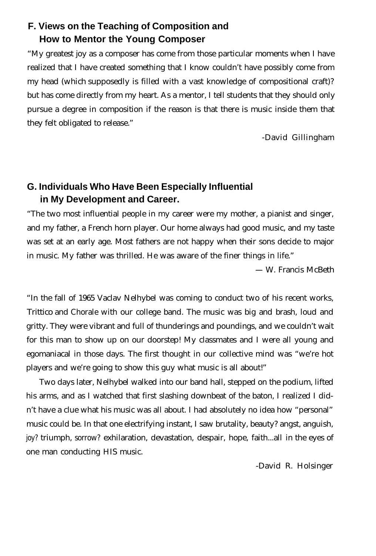# **F. Views on the Teaching of Composition and How to Mentor the Young Composer**

"My greatest joy as a composer has come from those particular moments when I have realized that I have created something that I know couldn't have possibly come from my head (which supposedly is filled with a vast knowledge of compositional craft)? but has come directly from my heart. As a mentor, I tell students that they should only pursue a degree in composition if the reason is that there is music inside them that they felt obligated to release."

-David Gillingham

# **G. Individuals Who Have Been Especially Influential in My Development and Career.**

"The two most influential people in my career were my mother, a pianist and singer, and my father, a French horn player. Our home always had good music, and my taste was set at an early age. Most fathers are not happy when their sons decide to major in music. My father was thrilled. He was aware of the finer things in life."

- W. Francis McBeth

"In the fall of 1965 Vaclav Nelhybel was coming to conduct two of his recent works, Trittico and Chorale with our college band. The music was big and brash, loud and gritty. They were vibrant and full of thunderings and poundings, and we couldn't wait for this man to show up on our doorstep! My classmates and I were all young and egomaniacal in those days. The first thought in our collective mind was "we're hot players and we're going to show this guy what music is all about!"

Two days later, Nelhybel walked into our band hall, stepped on the podium, lifted his arms, and as I watched that first slashing downbeat of the baton, I realized I didn't have a clue what his music was all about. I had absolutely no idea how "personal" music could be. In that one electrifying instant, I saw brutality, beauty? angst, anguish, joy? triumph, sorrow? exhilaration, devastation, despair, hope, faith...all in the eyes of one man conducting HIS music.

-David R. Holsinger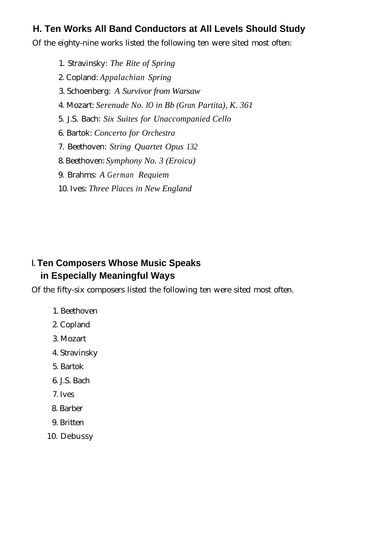## **H. Ten Works All Band Conductors at All Levels Should Study**

Of the eighty-nine works listed the following ten were sited most often:

1. Stravinsky: *The Rite of Spring*

- 2. Copland: *Appalachian Spring*
- 3. Schoenberg: *A Survivor from Warsaw*
- 4. Mozart: *Serenude No. IO in Bb (Gran Partita), K. 361*
- 5. J.S. Bach: *Six Suites for Unaccompanied Cello*
- 6. Bartok: *Concerto for Orchestra*
- 7. Beethoven: *String Quartet Opus 132*
- 8. Beethoven: *Symphony No. 3 (Eroicu)*
- 9. Brahms: *A German Requiem*
- 10. Ives: *Three Places in New England*

## **I. Ten Composers Whose Music Speaks in Especially Meaningful Ways**

Of the fifty-six composers listed the following ten were sited most often.

- 1. Beethoven
- 2. Copland
- 3. Mozart
- 4. Stravinsky
- 5. Bartok
- 6. J.S. Bach
- 7. Ives
- 8. Barber
- 9. Britten
- 10. Debussy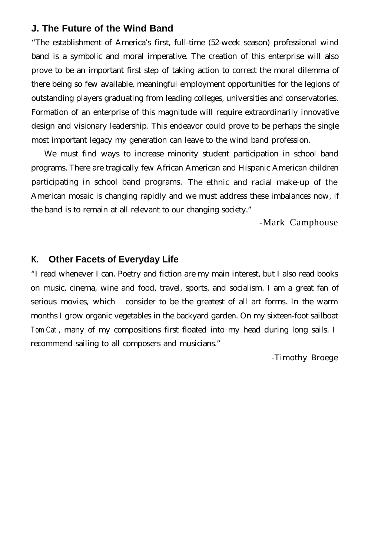#### **J. The Future of the Wind Band**

"The establishment of America's first, full-time (52-week season) professional wind band is a symbolic and moral imperative. The creation of this enterprise will also prove to be an important first step of taking action to correct the moral dilemma of there being so few available, meaningful employment opportunities for the legions of outstanding players graduating from leading colleges, universities and conservatories. Formation of an enterprise of this magnitude will require extraordinarily innovative design and visionary leadership. This endeavor could prove to be perhaps the single most important legacy my generation can leave to the wind band profession.

We must find ways to increase minority student participation in school band programs. There are tragically few African American and Hispanic American children participating in school band programs. The ethnic and racial make-up of the American mosaic is changing rapidly and we must address these imbalances now, if the band is to remain at all relevant to our changing society."

-Mark Camphouse

#### **K. Other Facets of Everyday Life**

"I read whenever I can. Poetry and fiction are my main interest, but I also read books on music, cinema, wine and food, travel, sports, and socialism. I am a great fan of serious movies, which consider to be the greatest of all art forms. In the warm months I grow organic vegetables in the backyard garden. On my sixteen-foot sailboat *Tom Cat* , many of my compositions first floated into my head during long sails. I recommend sailing to all composers and musicians."

-Timothy Broege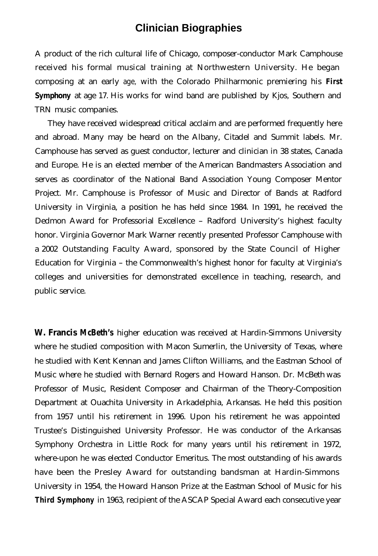# **Clinician Biographies**

A product of the rich cultural life of Chicago, composer-conductor Mark Camphouse received his formal musical training at Northwestern University. He began composing at an early age, with the Colorado Philharmonic premiering his *First* **Symphony** at age 17. His works for wind band are published by Kjos, Southern and TRN music companies.

They have received widespread critical acclaim and are performed frequently here and abroad. Many may be heard on the Albany, Citadel and Summit labels. Mr. Camphouse has served as guest conductor, lecturer and clinician in 38 states, Canada and Europe. He is an elected member of the American Bandmasters Association and serves as coordinator of the National Band Association Young Composer Mentor Project. Mr. Camphouse is Professor of Music and Director of Bands at Radford University in Virginia, a position he has held since 1984. In 1991, he received the Dedmon Award for Professorial Excellence - Radford University's highest faculty honor. Virginia Governor Mark Warner recently presented Professor Camphouse with a 2002 Outstanding Faculty Award, sponsored by the State Council of Higher Education for Virginia - the Commonwealth's highest honor for faculty at Virginia's colleges and universities for demonstrated excellence in teaching, research, and public service.

**W. Francis McBeth's** higher education was received at Hardin-Simmons University where he studied composition with Macon Sumerlin, the University of Texas, where he studied with Kent Kennan and James Clifton Williams, and the Eastman School of Music where he studied with Bernard Rogers and Howard Hanson. Dr. McBeth was Professor of Music, Resident Composer and Chairman of the Theory-Composition Department at Ouachita University in Arkadelphia, Arkansas. He held this position from 1957 until his retirement in 1996. Upon his retirement he was appointed Trustee's Distinguished University Professor. He was conductor of the Arkansas Symphony Orchestra in Little Rock for many years until his retirement in 1972, where-upon he was elected Conductor Emeritus. The most outstanding of his awards have been the Presley Award for outstanding bandsman at Hardin-Simmons University in 1954, the Howard Hanson Prize at the Eastman School of Music for his *Third Symphony* in 1963, recipient of the ASCAP Special Award each consecutive year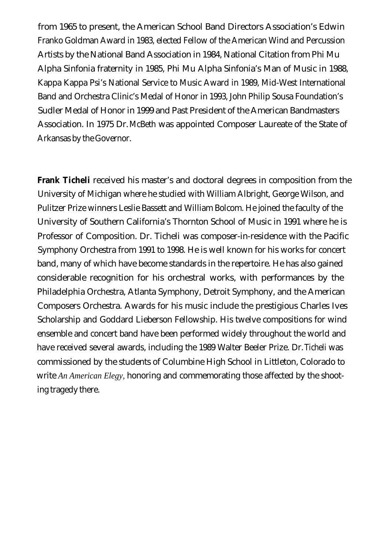from 1965 to present, the American School Band Directors Association's Edwin Franko Goldman Award in 1983, elected Fellow of the American Wind and Percussion Artists by the National Band Association in 1984, National Citation from Phi Mu Alpha Sinfonia fraternity in 1985, Phi Mu Alpha Sinfonia's Man of Music in 1988, Kappa Kappa Psi's National Service to Music Award in 1989, Mid-West International Band and Orchestra Clinic's Medal of Honor in 1993, John Philip Sousa Foundation's Sudler Medal of Honor in 1999 and Past President of the American Bandmasters Association. In 1975 Dr. McBeth was appointed Composer Laureate of the State of Arkansas by the Governor.

**Frank Ticheli** received his master's and doctoral degrees in composition from the University of Michigan where he studied with William Albright, George Wilson, and Pulitzer Prize winners Leslie Bassett and William Bolcom. He joined the faculty of the University of Southern California's Thornton School of Music in 1991 where he is Professor of Composition. Dr. Ticheli was composer-in-residence with the Pacific Symphony Orchestra from 1991 to 1998. He is well known for his works for concert band, many of which have become standards in the repertoire. He has also gained considerable recognition for his orchestral works, with performances by the Philadelphia Orchestra, Atlanta Symphony, Detroit Symphony, and the American Composers Orchestra. Awards for his music include the prestigious Charles Ives Scholarship and Goddard Lieberson Fellowship. His twelve compositions for wind ensemble and concert band have been performed widely throughout the world and have received several awards, including the 1989 Walter Beeler Prize. Dr. Ticheli was commissioned by the students of Columbine High School in Littleton, Colorado to write *An American Elegy,* honoring and commemorating those affected by the shooting tragedy there.